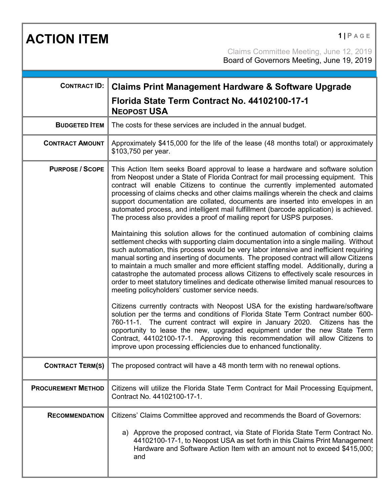**ACTION ITEM 1 PAGE** 

Claims Committee Meeting, June 12, 2019 Board of Governors Meeting, June 19, 2019

| <b>CONTRACT ID:</b>       |                                                                                                                                                                                                                                                                                                                                                                                                                                                                                                                                                                                                                                                                                     |
|---------------------------|-------------------------------------------------------------------------------------------------------------------------------------------------------------------------------------------------------------------------------------------------------------------------------------------------------------------------------------------------------------------------------------------------------------------------------------------------------------------------------------------------------------------------------------------------------------------------------------------------------------------------------------------------------------------------------------|
|                           | <b>Claims Print Management Hardware &amp; Software Upgrade</b><br>Florida State Term Contract No. 44102100-17-1<br><b>NEOPOST USA</b>                                                                                                                                                                                                                                                                                                                                                                                                                                                                                                                                               |
| <b>BUDGETED ITEM</b>      | The costs for these services are included in the annual budget.                                                                                                                                                                                                                                                                                                                                                                                                                                                                                                                                                                                                                     |
| <b>CONTRACT AMOUNT</b>    | Approximately \$415,000 for the life of the lease (48 months total) or approximately<br>\$103,750 per year.                                                                                                                                                                                                                                                                                                                                                                                                                                                                                                                                                                         |
| <b>PURPOSE / SCOPE</b>    | This Action Item seeks Board approval to lease a hardware and software solution<br>from Neopost under a State of Florida Contract for mail processing equipment. This<br>contract will enable Citizens to continue the currently implemented automated<br>processing of claims checks and other claims mailings wherein the check and claims<br>support documentation are collated, documents are inserted into envelopes in an<br>automated process, and intelligent mail fulfillment (barcode application) is achieved.<br>The process also provides a proof of mailing report for USPS purposes.                                                                                 |
|                           | Maintaining this solution allows for the continued automation of combining claims<br>settlement checks with supporting claim documentation into a single mailing. Without<br>such automation, this process would be very labor intensive and inefficient requiring<br>manual sorting and inserting of documents. The proposed contract will allow Citizens<br>to maintain a much smaller and more efficient staffing model. Additionally, during a<br>catastrophe the automated process allows Citizens to effectively scale resources in<br>order to meet statutory timelines and dedicate otherwise limited manual resources to<br>meeting policyholders' customer service needs. |
|                           | Citizens currently contracts with Neopost USA for the existing hardware/software<br>solution per the terms and conditions of Florida State Term Contract number 600-<br>760-11-1. The current contract will expire in January 2020. Citizens has the<br>opportunity to lease the new, upgraded equipment under the new State Term<br>Contract, 44102100-17-1. Approving this recommendation will allow Citizens to<br>improve upon processing efficiencies due to enhanced functionality.                                                                                                                                                                                           |
| <b>CONTRACT TERM(S)</b>   | The proposed contract will have a 48 month term with no renewal options.                                                                                                                                                                                                                                                                                                                                                                                                                                                                                                                                                                                                            |
| <b>PROCUREMENT METHOD</b> | Citizens will utilize the Florida State Term Contract for Mail Processing Equipment,<br>Contract No. 44102100-17-1.                                                                                                                                                                                                                                                                                                                                                                                                                                                                                                                                                                 |
| <b>RECOMMENDATION</b>     | Citizens' Claims Committee approved and recommends the Board of Governors:                                                                                                                                                                                                                                                                                                                                                                                                                                                                                                                                                                                                          |
|                           | a) Approve the proposed contract, via State of Florida State Term Contract No.<br>44102100-17-1, to Neopost USA as set forth in this Claims Print Management<br>Hardware and Software Action Item with an amount not to exceed \$415,000;<br>and                                                                                                                                                                                                                                                                                                                                                                                                                                    |